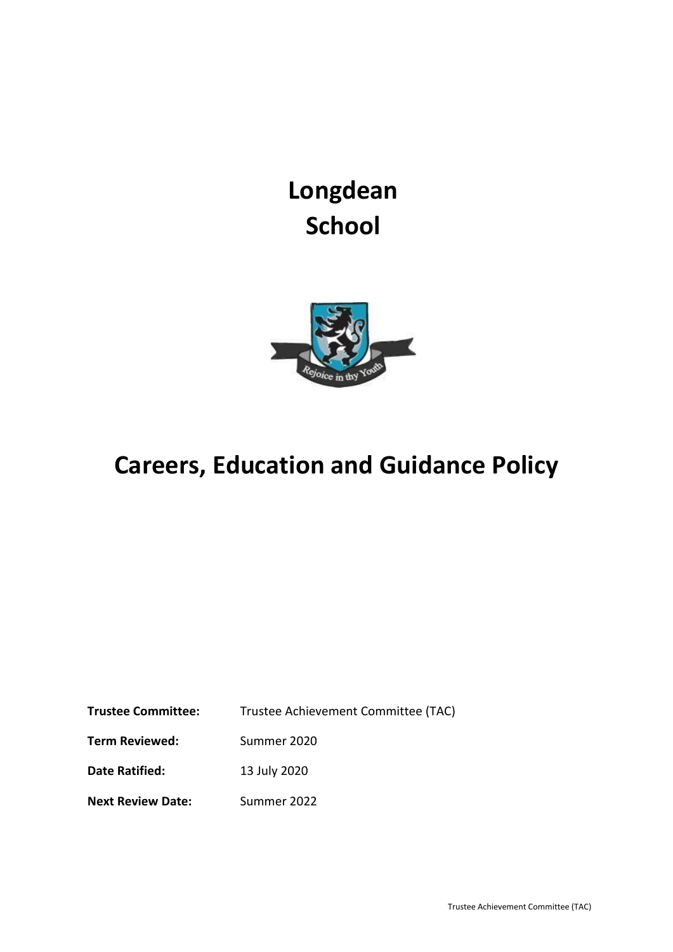**Longdean School**



# **Careers, Education and Guidance Policy**

**Trustee Committee:** Trustee Achievement Committee (TAC) **Term Reviewed:** Summer 2020 **Date Ratified:** 13 July 2020 **Next Review Date:** Summer 2022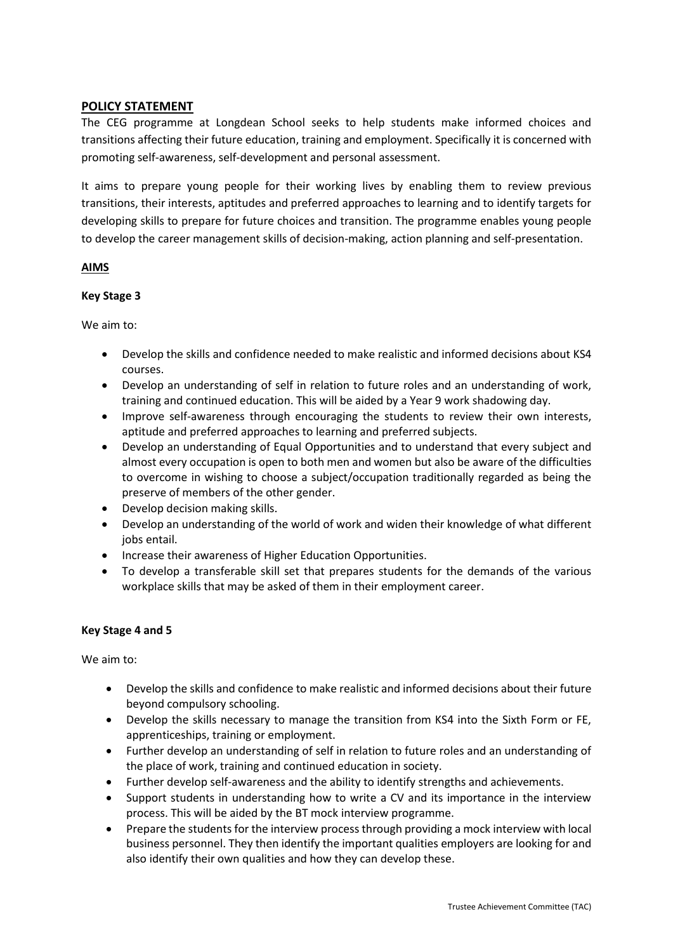# **POLICY STATEMENT**

The CEG programme at Longdean School seeks to help students make informed choices and transitions affecting their future education, training and employment. Specifically it is concerned with promoting self-awareness, self-development and personal assessment.

It aims to prepare young people for their working lives by enabling them to review previous transitions, their interests, aptitudes and preferred approaches to learning and to identify targets for developing skills to prepare for future choices and transition. The programme enables young people to develop the career management skills of decision-making, action planning and self-presentation.

## **AIMS**

## **Key Stage 3**

We aim to:

- Develop the skills and confidence needed to make realistic and informed decisions about KS4 courses.
- Develop an understanding of self in relation to future roles and an understanding of work, training and continued education. This will be aided by a Year 9 work shadowing day.
- Improve self-awareness through encouraging the students to review their own interests, aptitude and preferred approaches to learning and preferred subjects.
- Develop an understanding of Equal Opportunities and to understand that every subject and almost every occupation is open to both men and women but also be aware of the difficulties to overcome in wishing to choose a subject/occupation traditionally regarded as being the preserve of members of the other gender.
- Develop decision making skills.
- Develop an understanding of the world of work and widen their knowledge of what different iobs entail.
- Increase their awareness of Higher Education Opportunities.
- To develop a transferable skill set that prepares students for the demands of the various workplace skills that may be asked of them in their employment career.

#### **Key Stage 4 and 5**

We aim to:

- Develop the skills and confidence to make realistic and informed decisions about their future beyond compulsory schooling.
- Develop the skills necessary to manage the transition from KS4 into the Sixth Form or FE, apprenticeships, training or employment.
- Further develop an understanding of self in relation to future roles and an understanding of the place of work, training and continued education in society.
- Further develop self-awareness and the ability to identify strengths and achievements.
- Support students in understanding how to write a CV and its importance in the interview process. This will be aided by the BT mock interview programme.
- Prepare the students for the interview process through providing a mock interview with local business personnel. They then identify the important qualities employers are looking for and also identify their own qualities and how they can develop these.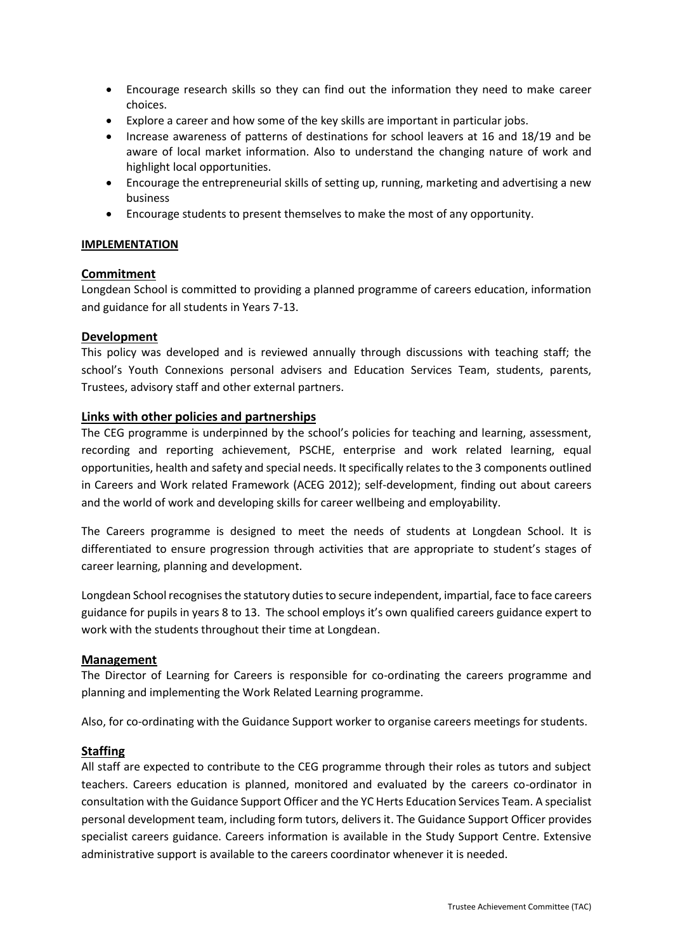- Encourage research skills so they can find out the information they need to make career choices.
- Explore a career and how some of the key skills are important in particular jobs.
- Increase awareness of patterns of destinations for school leavers at 16 and 18/19 and be aware of local market information. Also to understand the changing nature of work and highlight local opportunities.
- Encourage the entrepreneurial skills of setting up, running, marketing and advertising a new business
- Encourage students to present themselves to make the most of any opportunity.

# **IMPLEMENTATION**

# **Commitment**

Longdean School is committed to providing a planned programme of careers education, information and guidance for all students in Years 7-13.

# **Development**

This policy was developed and is reviewed annually through discussions with teaching staff; the school's Youth Connexions personal advisers and Education Services Team, students, parents, Trustees, advisory staff and other external partners.

# **Links with other policies and partnerships**

The CEG programme is underpinned by the school's policies for teaching and learning, assessment, recording and reporting achievement, PSCHE, enterprise and work related learning, equal opportunities, health and safety and special needs. It specifically relates to the 3 components outlined in Careers and Work related Framework (ACEG 2012); self-development, finding out about careers and the world of work and developing skills for career wellbeing and employability.

The Careers programme is designed to meet the needs of students at Longdean School. It is differentiated to ensure progression through activities that are appropriate to student's stages of career learning, planning and development.

Longdean School recognises the statutory duties to secure independent, impartial, face to face careers guidance for pupils in years 8 to 13. The school employs it's own qualified careers guidance expert to work with the students throughout their time at Longdean.

# **Management**

The Director of Learning for Careers is responsible for co-ordinating the careers programme and planning and implementing the Work Related Learning programme.

Also, for co-ordinating with the Guidance Support worker to organise careers meetings for students.

# **Staffing**

All staff are expected to contribute to the CEG programme through their roles as tutors and subject teachers. Careers education is planned, monitored and evaluated by the careers co-ordinator in consultation with the Guidance Support Officer and the YC Herts Education Services Team. A specialist personal development team, including form tutors, delivers it. The Guidance Support Officer provides specialist careers guidance. Careers information is available in the Study Support Centre. Extensive administrative support is available to the careers coordinator whenever it is needed.